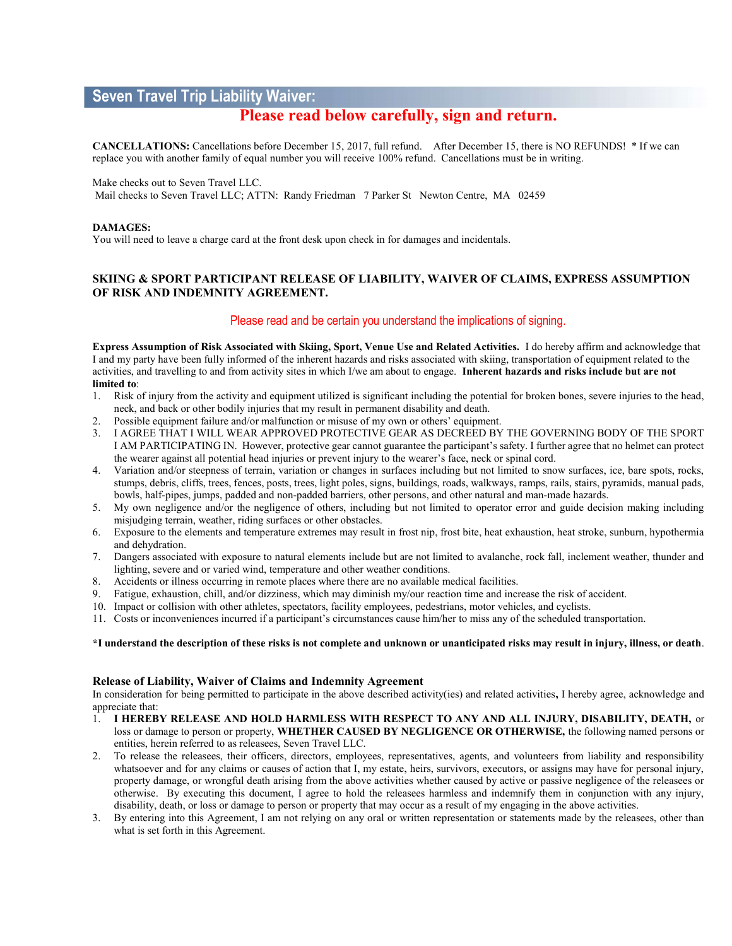# Seven Travel Trip Liability Waiver:

# Please read below carefully, sign and return.

CANCELLATIONS: Cancellations before December 15, 2017, full refund. After December 15, there is NO REFUNDS! \* If we can replace you with another family of equal number you will receive 100% refund. Cancellations must be in writing.

Make checks out to Seven Travel LLC.

Mail checks to Seven Travel LLC; ATTN: Randy Friedman 7 Parker St Newton Centre, MA 02459

#### DAMAGES:

You will need to leave a charge card at the front desk upon check in for damages and incidentals.

# SKIING & SPORT PARTICIPANT RELEASE OF LIABILITY, WAIVER OF CLAIMS, EXPRESS ASSUMPTION OF RISK AND INDEMNITY AGREEMENT.

# Please read and be certain you understand the implications of signing.

Express Assumption of Risk Associated with Skiing, Sport, Venue Use and Related Activities. I do hereby affirm and acknowledge that I and my party have been fully informed of the inherent hazards and risks associated with skiing, transportation of equipment related to the activities, and travelling to and from activity sites in which I/we am about to engage. Inherent hazards and risks include but are not limited to:

- 1. Risk of injury from the activity and equipment utilized is significant including the potential for broken bones, severe injuries to the head, neck, and back or other bodily injuries that my result in permanent disability and death.
- 2. Possible equipment failure and/or malfunction or misuse of my own or others' equipment.
- 3. I AGREE THAT I WILL WEAR APPROVED PROTECTIVE GEAR AS DECREED BY THE GOVERNING BODY OF THE SPORT I AM PARTICIPATING IN. However, protective gear cannot guarantee the participant's safety. I further agree that no helmet can protect the wearer against all potential head injuries or prevent injury to the wearer's face, neck or spinal cord.
- 4. Variation and/or steepness of terrain, variation or changes in surfaces including but not limited to snow surfaces, ice, bare spots, rocks, stumps, debris, cliffs, trees, fences, posts, trees, light poles, signs, buildings, roads, walkways, ramps, rails, stairs, pyramids, manual pads, bowls, half-pipes, jumps, padded and non-padded barriers, other persons, and other natural and man-made hazards.
- 5. My own negligence and/or the negligence of others, including but not limited to operator error and guide decision making including misjudging terrain, weather, riding surfaces or other obstacles.
- 6. Exposure to the elements and temperature extremes may result in frost nip, frost bite, heat exhaustion, heat stroke, sunburn, hypothermia and dehydration.
- 7. Dangers associated with exposure to natural elements include but are not limited to avalanche, rock fall, inclement weather, thunder and lighting, severe and or varied wind, temperature and other weather conditions.
- 8. Accidents or illness occurring in remote places where there are no available medical facilities.<br>9. Fatigue. exhaustion, chill, and/or dizziness, which may diminish my/our reaction time and incr
- 9. Fatigue, exhaustion, chill, and/or dizziness, which may diminish my/our reaction time and increase the risk of accident.
- 10. Impact or collision with other athletes, spectators, facility employees, pedestrians, motor vehicles, and cyclists.
- 11. Costs or inconveniences incurred if a participant's circumstances cause him/her to miss any of the scheduled transportation.

#### \*I understand the description of these risks is not complete and unknown or unanticipated risks may result in injury, illness, or death.

### Release of Liability, Waiver of Claims and Indemnity Agreement

In consideration for being permitted to participate in the above described activity(ies) and related activities, I hereby agree, acknowledge and appreciate that:

- 1. I HEREBY RELEASE AND HOLD HARMLESS WITH RESPECT TO ANY AND ALL INJURY, DISABILITY, DEATH, or loss or damage to person or property, WHETHER CAUSED BY NEGLIGENCE OR OTHERWISE, the following named persons or entities, herein referred to as releasees, Seven Travel LLC.
- 2. To release the releasees, their officers, directors, employees, representatives, agents, and volunteers from liability and responsibility whatsoever and for any claims or causes of action that I, my estate, heirs, survivors, executors, or assigns may have for personal injury, property damage, or wrongful death arising from the above activities whether caused by active or passive negligence of the releasees or otherwise. By executing this document, I agree to hold the releasees harmless and indemnify them in conjunction with any injury, disability, death, or loss or damage to person or property that may occur as a result of my engaging in the above activities.
- 3. By entering into this Agreement, I am not relying on any oral or written representation or statements made by the releasees, other than what is set forth in this Agreement.